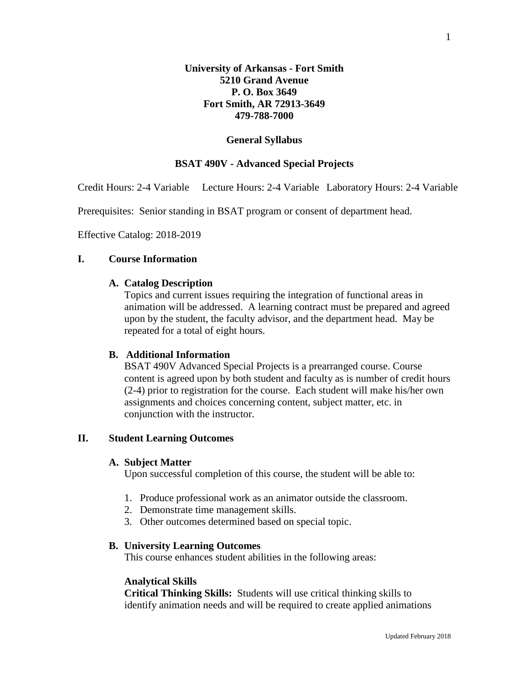#### **General Syllabus**

## **BSAT 490V - Advanced Special Projects**

Credit Hours: 2-4 Variable Lecture Hours: 2-4 Variable Laboratory Hours: 2-4 Variable

Prerequisites: Senior standing in BSAT program or consent of department head.

Effective Catalog: 2018-2019

# **I. Course Information**

#### **A. Catalog Description**

Topics and current issues requiring the integration of functional areas in animation will be addressed. A learning contract must be prepared and agreed upon by the student, the faculty advisor, and the department head. May be repeated for a total of eight hours.

# **B. Additional Information**

BSAT 490V Advanced Special Projects is a prearranged course. Course content is agreed upon by both student and faculty as is number of credit hours (2-4) prior to registration for the course. Each student will make his/her own assignments and choices concerning content, subject matter, etc. in conjunction with the instructor.

## **II. Student Learning Outcomes**

#### **A. Subject Matter**

Upon successful completion of this course, the student will be able to:

- 1. Produce professional work as an animator outside the classroom.
- 2. Demonstrate time management skills.
- 3. Other outcomes determined based on special topic.

## **B. University Learning Outcomes**

This course enhances student abilities in the following areas:

#### **Analytical Skills**

**Critical Thinking Skills:** Students will use critical thinking skills to identify animation needs and will be required to create applied animations